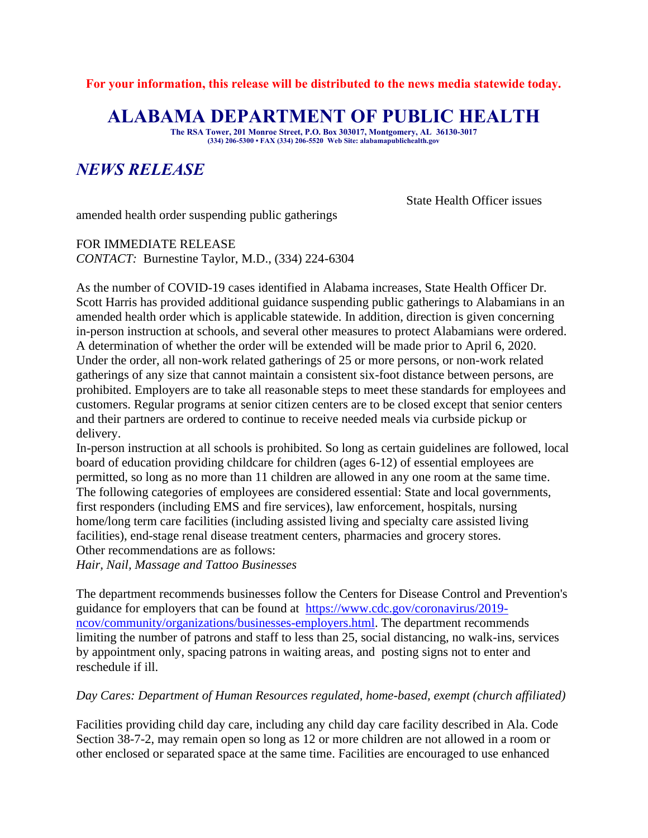**For your information, this release will be distributed to the news media statewide today.**

## **ALABAMA DEPARTMENT OF PUBLIC HEALTH**

**The RSA Tower, 201 Monroe Street, P.O. Box 303017, Montgomery, AL 36130-3017 (334) 206-5300 • FAX (334) 206-5520 Web Site: alabamapublichealth.gov**

## *NEWS RELEASE*

State Health Officer issues

amended health order suspending public gatherings

FOR IMMEDIATE RELEASE *CONTACT:* Burnestine Taylor, M.D., (334) 224-6304

As the number of COVID-19 cases identified in Alabama increases, State Health Officer Dr. Scott Harris has provided additional guidance suspending public gatherings to Alabamians in an amended health order which is applicable statewide. In addition, direction is given concerning in-person instruction at schools, and several other measures to protect Alabamians were ordered. A determination of whether the order will be extended will be made prior to April 6, 2020. Under the order, all non-work related gatherings of 25 or more persons, or non-work related gatherings of any size that cannot maintain a consistent six-foot distance between persons, are prohibited. Employers are to take all reasonable steps to meet these standards for employees and customers. Regular programs at senior citizen centers are to be closed except that senior centers and their partners are ordered to continue to receive needed meals via curbside pickup or delivery.

In-person instruction at all schools is prohibited. So long as certain guidelines are followed, local board of education providing childcare for children (ages 6-12) of essential employees are permitted, so long as no more than 11 children are allowed in any one room at the same time. The following categories of employees are considered essential: State and local governments, first responders (including EMS and fire services), law enforcement, hospitals, nursing home/long term care facilities (including assisted living and specialty care assisted living facilities), end-stage renal disease treatment centers, pharmacies and grocery stores. Other recommendations are as follows:

*Hair, Nail, Massage and Tattoo Businesses*

The department recommends businesses follow the Centers for Disease Control and Prevention's guidance for employers that can be found at [https://www.cdc.gov/coronavirus/2019](https://www.cdc.gov/coronavirus/2019-ncov/community/organizations/businesses-employers.html) [ncov/community/organizations/businesses-employers.html.](https://www.cdc.gov/coronavirus/2019-ncov/community/organizations/businesses-employers.html) The department recommends limiting the number of patrons and staff to less than 25, social distancing, no walk-ins, services by appointment only, spacing patrons in waiting areas, and posting signs not to enter and reschedule if ill.

## *Day Cares: Department of Human Resources regulated, home-based, exempt (church affiliated)*

Facilities providing child day care, including any child day care facility described in Ala. Code Section 38-7-2, may remain open so long as 12 or more children are not allowed in a room or other enclosed or separated space at the same time. Facilities are encouraged to use enhanced